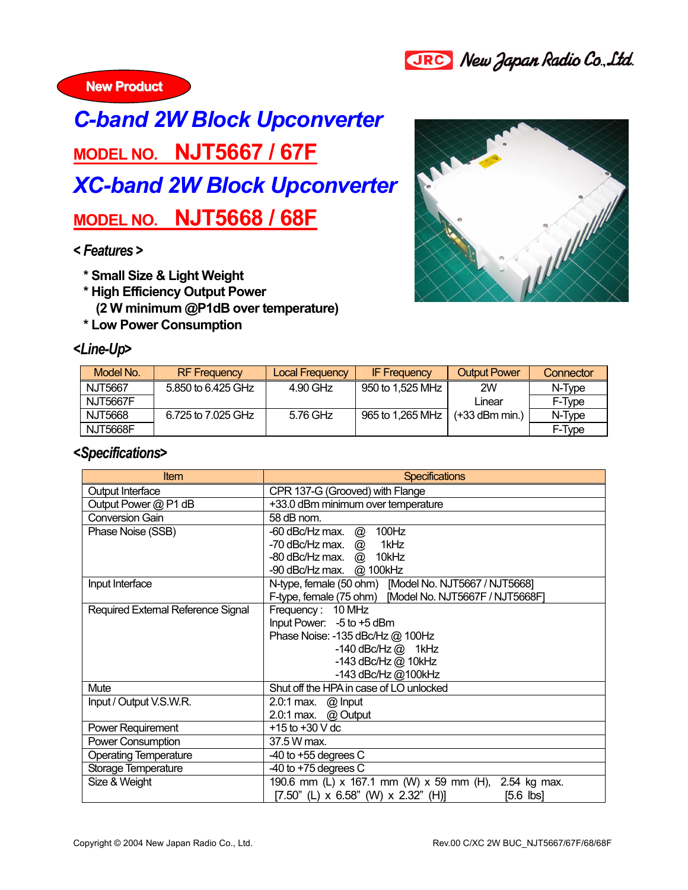



## *C-band 2W Block Upconverter*  **MODEL NO. NJT5667 / 67F** *XC-band 2W Block Upconverter*  **MODEL NO. NJT5668 / 68F**

## *< Features >*

- **\* Small Size & Light Weight**
- **\* High Efficiency Output Power** 
	- **(2 W minimum @P1dB over temperature)**
- **\* Low Power Consumption**

## *<Line-Up>*



| Model No.       | <b>RF</b> Frequency | <b>Local Frequency</b> | <b>IF Frequency</b> | <b>Output Power</b> | Connector |
|-----------------|---------------------|------------------------|---------------------|---------------------|-----------|
| NJT5667         | 5.850 to 6.425 GHz  | 4.90 GHz               | 950 to 1.525 MHz    | 2W                  | N-Type    |
| <b>NJT5667F</b> |                     |                        |                     | Linear              | F-Type    |
| NJT5668         | 6.725 to 7.025 GHz  | 5.76 GHz               | 965 to 1,265 MHz    | $(+33$ dBm min.)    | N-Type    |
| <b>NJT5668F</b> |                     |                        |                     |                     | F-Type    |

## *<Specifications>*

| <b>Item</b>                        | <b>Specifications</b>                                   |  |  |  |
|------------------------------------|---------------------------------------------------------|--|--|--|
| Output Interface                   | CPR 137-G (Grooved) with Flange                         |  |  |  |
| Output Power @ P1 dB               | +33.0 dBm minimum over temperature                      |  |  |  |
| <b>Conversion Gain</b>             | 58 dB nom.                                              |  |  |  |
| Phase Noise (SSB)                  | 100Hz<br>-60 dBc/Hz max. $@$                            |  |  |  |
|                                    | -70 dBc/Hz max. @<br>1kHz                               |  |  |  |
|                                    | -80 dBc/Hz max. @ 10kHz                                 |  |  |  |
|                                    | -90 dBc/Hz max. @ 100kHz                                |  |  |  |
| Input Interface                    | N-type, female (50 ohm) [Model No. NJT5667 / NJT5668]   |  |  |  |
|                                    | F-type, female (75 ohm) [Model No. NJT5667F / NJT5668F] |  |  |  |
| Required External Reference Signal | Frequency: 10 MHz                                       |  |  |  |
|                                    | Input Power: -5 to +5 dBm                               |  |  |  |
|                                    | Phase Noise: -135 dBc/Hz @ 100Hz                        |  |  |  |
|                                    | $-140$ dBc/Hz $@$ 1kHz                                  |  |  |  |
|                                    | -143 dBc/Hz @ 10kHz                                     |  |  |  |
|                                    | -143 dBc/Hz @100kHz                                     |  |  |  |
| Mute                               | Shut off the HPA in case of LO unlocked                 |  |  |  |
| Input / Output V.S.W.R.            | 2.0:1 max. @ Input                                      |  |  |  |
|                                    | 2.0:1 max. $@$ Output                                   |  |  |  |
| Power Requirement                  | +15 to +30 $V$ dc                                       |  |  |  |
| Power Consumption                  | 37.5 W max.                                             |  |  |  |
| <b>Operating Temperature</b>       | $-40$ to $+55$ degrees C                                |  |  |  |
| Storage Temperature                | $-40$ to $+75$ degrees C                                |  |  |  |
| Size & Weight                      | 190.6 mm (L) x 167.1 mm (W) x 59 mm (H), 2.54 kg max.   |  |  |  |
|                                    | $[7.50"$ (L) x 6.58" (W) x 2.32" (H)]<br>$[5.6$ $ bs]$  |  |  |  |